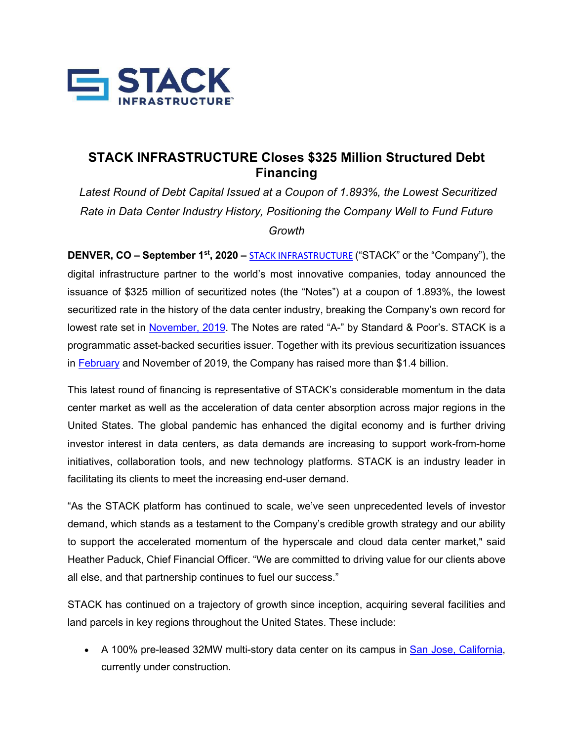

## **STACK INFRASTRUCTURE Closes \$325 Million Structured Debt Financing**

*Latest Round of Debt Capital Issued at a Coupon of 1.893%, the Lowest Securitized Rate in Data Center Industry History, Positioning the Company Well to Fund Future Growth* 

**DENVER, CO – September 1<sup>st</sup>, 2020** – **STACK INFRASTRUCTURE** ("STACK" or the "Company"), the digital infrastructure partner to the world's most innovative companies, today announced the issuance of \$325 million of securitized notes (the "Notes") at a coupon of 1.893%, the lowest securitized rate in the history of the data center industry, breaking the Company's own record for lowest rate set in November, 2019. The Notes are rated "A-" by Standard & Poor's. STACK is a programmatic asset-backed securities issuer. Together with its previous securitization issuances in February and November of 2019, the Company has raised more than \$1.4 billion.

This latest round of financing is representative of STACK's considerable momentum in the data center market as well as the acceleration of data center absorption across major regions in the United States. The global pandemic has enhanced the digital economy and is further driving investor interest in data centers, as data demands are increasing to support work-from-home initiatives, collaboration tools, and new technology platforms. STACK is an industry leader in facilitating its clients to meet the increasing end-user demand.

"As the STACK platform has continued to scale, we've seen unprecedented levels of investor demand, which stands as a testament to the Company's credible growth strategy and our ability to support the accelerated momentum of the hyperscale and cloud data center market," said Heather Paduck, Chief Financial Officer. "We are committed to driving value for our clients above all else, and that partnership continues to fuel our success."

STACK has continued on a trajectory of growth since inception, acquiring several facilities and land parcels in key regions throughout the United States. These include:

• A 100% pre-leased 32MW multi-story data center on its campus in San Jose, California, currently under construction.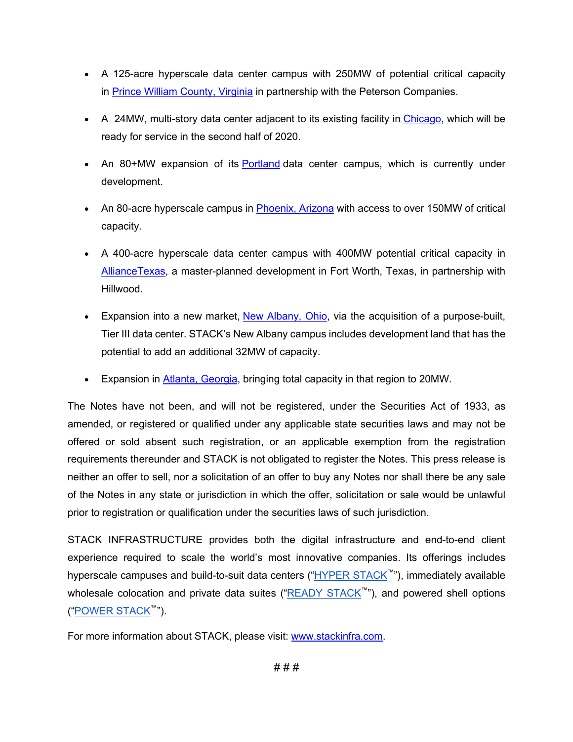- A 125-acre hyperscale data center campus with 250MW of potential critical capacity in Prince William County, Virginia in partnership with the Peterson Companies.
- A 24MW, multi-story data center adjacent to its existing facility in Chicago, which will be ready for service in the second half of 2020.
- An 80+MW expansion of its Portland data center campus, which is currently under development.
- An 80-acre hyperscale campus in Phoenix, Arizona with access to over 150MW of critical capacity.
- A 400-acre hyperscale data center campus with 400MW potential critical capacity in AllianceTexas, a master-planned development in Fort Worth, Texas, in partnership with Hillwood.
- Expansion into a new market, New Albany, Ohio, via the acquisition of a purpose-built, Tier III data center. STACK's New Albany campus includes development land that has the potential to add an additional 32MW of capacity.
- Expansion in Atlanta, Georgia, bringing total capacity in that region to 20MW.

The Notes have not been, and will not be registered, under the Securities Act of 1933, as amended, or registered or qualified under any applicable state securities laws and may not be offered or sold absent such registration, or an applicable exemption from the registration requirements thereunder and STACK is not obligated to register the Notes. This press release is neither an offer to sell, nor a solicitation of an offer to buy any Notes nor shall there be any sale of the Notes in any state or jurisdiction in which the offer, solicitation or sale would be unlawful prior to registration or qualification under the securities laws of such jurisdiction.

STACK INFRASTRUCTURE provides both the digital infrastructure and end-to-end client experience required to scale the world's most innovative companies. Its offerings includes hyperscale campuses and build-to-suit data centers ("HYPER STACK™"), immediately available wholesale colocation and private data suites ("READY STACK™"), and powered shell options ("POWER STACK™").

For more information about STACK, please visit: www.stackinfra.com.